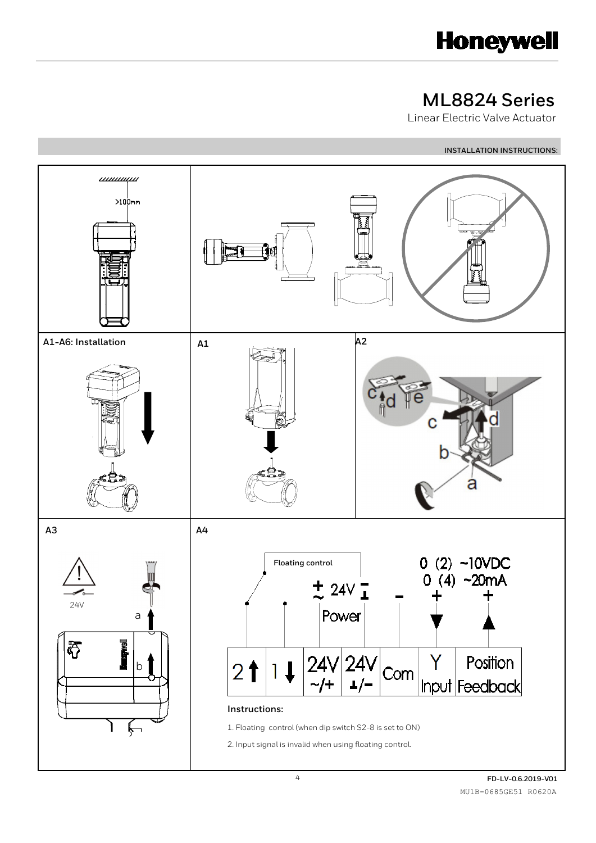

# **ML8824 Series**

Linear Electric Valve Actuator

**INSTALLATION INSTRUCTIONS:** 



֦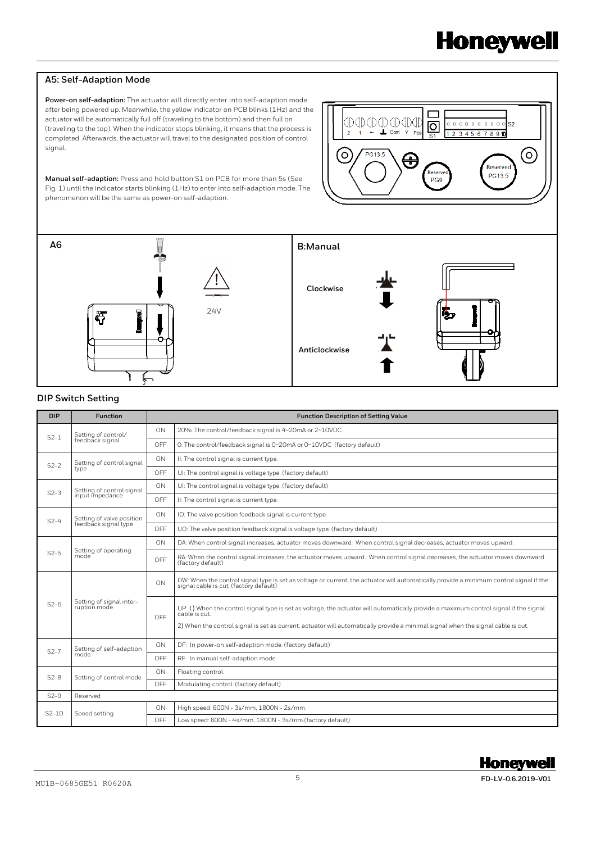## **A5: Self-Adaption Mode**

֦

**Power-on self-adaption:** The actuator will directly enter into self-adaption mode after being powered up. Meanwhile, the yellow indicator on PCB blinks (1Hz) and the actuator will be automatically full off (traveling to the bottom) and then full on (traveling to the top). When the indicator stops blinking, it means that the process is completed. Afterwards, the actuator will travel to the designated position of control signal.



**Manual self-adaption:** Press and hold button S1 on PCB for more than 5s (See Fig. 1) until the indicator starts blinking (1Hz) to enter into self-adaption mode. The phenomenon will be the same as power-on self-adaption.



#### **DIP Switch Setting**

| <b>DIP</b> | <b>Function</b>                                   | <b>Function Description of Setting Value</b> |                                                                                                                                                                                                                                                                                            |
|------------|---------------------------------------------------|----------------------------------------------|--------------------------------------------------------------------------------------------------------------------------------------------------------------------------------------------------------------------------------------------------------------------------------------------|
| $S2-1$     | Setting of control/<br>feedback signal            | ON                                           | 20%: The control/feedback signal is 4~20mA or 2~10VDC                                                                                                                                                                                                                                      |
|            |                                                   | OFF                                          | O: The control/feedback signal is 0~20mA or 0~10VDC (factory default)                                                                                                                                                                                                                      |
| $S2-2$     | Setting of control signal<br>type                 | ON                                           | II: The control signal is current type.                                                                                                                                                                                                                                                    |
|            |                                                   | OFF                                          | UI: The control signal is voltage type. (factory default)                                                                                                                                                                                                                                  |
| $S2-3$     | Setting of control signal<br>input impedance      | ON                                           | UI: The control signal is voltage type. (factory default)                                                                                                                                                                                                                                  |
|            |                                                   | OFF                                          | II: The control signal is current type.                                                                                                                                                                                                                                                    |
| $S2-4$     | Setting of valve position<br>feedback signal type | ON                                           | IO: The valve position feedback signal is current type.                                                                                                                                                                                                                                    |
|            |                                                   | OFF                                          | UO: The valve position feedback signal is voltage type. (factory default)                                                                                                                                                                                                                  |
| $S2-5$     | Setting of operating<br>mode                      | ON                                           | DA: When control signal increases, actuator moves downward. When control signal decreases, actuator moves upward.                                                                                                                                                                          |
|            |                                                   | OFF                                          | RA: When the control signal increases, the actuator moves upward. When control signal decreases, the actuator moves downward.<br>(factory default)                                                                                                                                         |
| $S2-6$     | Setting of signal inter-<br>ruption mode          | ON                                           | DW: When the control signal type is set as voltage or current, the actuator will automatically provide a minimum control signal if the<br>signal cable is cut. (factory default)                                                                                                           |
|            |                                                   | OFF                                          | UP: 1) When the control signal type is set as voltage, the actuator will automatically provide a maximum control signal if the signal<br>cable is cut.<br>2) When the control signal is set as current, actuator will automatically provide a minimal signal when the signal cable is cut. |
| $S2-7$     | Setting of self-adaption<br>mode                  | ON                                           | DF: In power-on self-adaption mode. (factory default)                                                                                                                                                                                                                                      |
|            |                                                   | OFF                                          | RF: In manual self-adaption mode.                                                                                                                                                                                                                                                          |
| $S2-8$     | Setting of control mode                           | ON                                           | Floating control.                                                                                                                                                                                                                                                                          |
|            |                                                   | OFF                                          | Modulating control. (factory default)                                                                                                                                                                                                                                                      |
| $S2-9$     | Reserved                                          |                                              |                                                                                                                                                                                                                                                                                            |
| $S2-10$    | Speed setting                                     | ON                                           | High speed: 600N - 3s/mm, 1800N - 2s/mm.                                                                                                                                                                                                                                                   |
|            |                                                   | OFF                                          | Low speed: 600N - 4s/mm, 1800N - 3s/mm.(factory default)                                                                                                                                                                                                                                   |